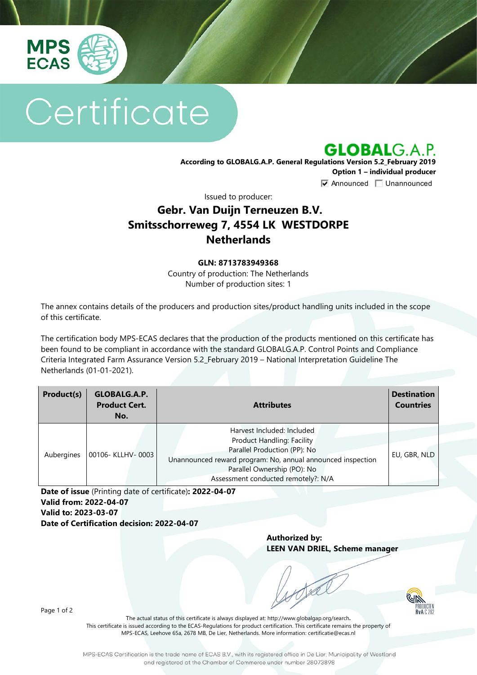

# Certificate

**GLOBALG.A.P.** 

**According to GLOBALG.A.P. General Regulations Version 5.2\_February 2019 Option 1 – individual producer**  $\nabla$  Announced  $\nabla$  Unannounced

Issued to producer:

## **Gebr. Van Duijn Terneuzen B.V. Smitsschorreweg 7, 4554 LK WESTDORPE Netherlands**

#### **GLN: 8713783949368**

Country of production: The Netherlands Number of production sites: 1

The annex contains details of the producers and production sites/product handling units included in the scope of this certificate.

The certification body MPS-ECAS declares that the production of the products mentioned on this certificate has been found to be compliant in accordance with the standard GLOBALG.A.P. Control Points and Compliance Criteria Integrated Farm Assurance Version 5.2\_February 2019 – National Interpretation Guideline The Netherlands (01-01-2021).

| Product(s) | GLOBALG.A.P.<br><b>Product Cert.</b><br>No. | <b>Attributes</b>                                                                                                                                                                                                             | <b>Destination</b><br><b>Countries</b> |
|------------|---------------------------------------------|-------------------------------------------------------------------------------------------------------------------------------------------------------------------------------------------------------------------------------|----------------------------------------|
| Aubergines | 00106- KLLHV-0003                           | Harvest Included: Included<br>Product Handling: Facility<br>Parallel Production (PP): No<br>Unannounced reward program: No, annual announced inspection<br>Parallel Ownership (PO): No<br>Assessment conducted remotely?: N/A | EU, GBR, NLD                           |

**Date of issue** (Printing date of certificate)**: 2022-04-07 Valid from: 2022-04-07 Valid to: 2023-03-07 Date of Certification decision: 2022-04-07**

> **Authorized by: LEEN VAN DRIEL, Scheme manager**



Page 1 of 2

The actual status of this certificate is always displayed at: <http://www.globalgap.org/search>**.**  This certificate is issued according to the ECAS-Regulations for product certification. This certificate remains the property of MPS-ECAS, Leehove 65a, 2678 MB, De Lier, Netherlands. More information[: certificatie@ecas.nl](mailto:certificatie@ecas.nl)